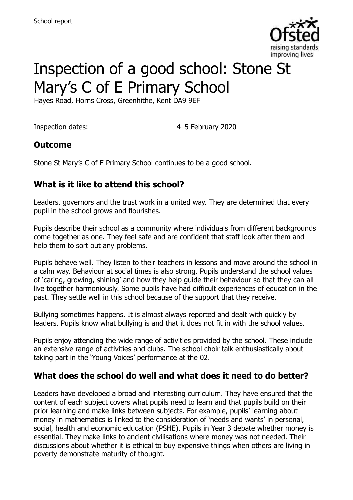

# Inspection of a good school: Stone St Mary's C of E Primary School

Hayes Road, Horns Cross, Greenhithe, Kent DA9 9EF

Inspection dates: 4–5 February 2020

#### **Outcome**

Stone St Mary's C of E Primary School continues to be a good school.

# **What is it like to attend this school?**

Leaders, governors and the trust work in a united way. They are determined that every pupil in the school grows and flourishes.

Pupils describe their school as a community where individuals from different backgrounds come together as one. They feel safe and are confident that staff look after them and help them to sort out any problems.

Pupils behave well. They listen to their teachers in lessons and move around the school in a calm way. Behaviour at social times is also strong. Pupils understand the school values of 'caring, growing, shining' and how they help guide their behaviour so that they can all live together harmoniously. Some pupils have had difficult experiences of education in the past. They settle well in this school because of the support that they receive.

Bullying sometimes happens. It is almost always reported and dealt with quickly by leaders. Pupils know what bullying is and that it does not fit in with the school values.

Pupils enjoy attending the wide range of activities provided by the school. These include an extensive range of activities and clubs. The school choir talk enthusiastically about taking part in the 'Young Voices' performance at the 02.

#### **What does the school do well and what does it need to do better?**

Leaders have developed a broad and interesting curriculum. They have ensured that the content of each subject covers what pupils need to learn and that pupils build on their prior learning and make links between subjects. For example, pupils' learning about money in mathematics is linked to the consideration of 'needs and wants' in personal, social, health and economic education (PSHE). Pupils in Year 3 debate whether money is essential. They make links to ancient civilisations where money was not needed. Their discussions about whether it is ethical to buy expensive things when others are living in poverty demonstrate maturity of thought.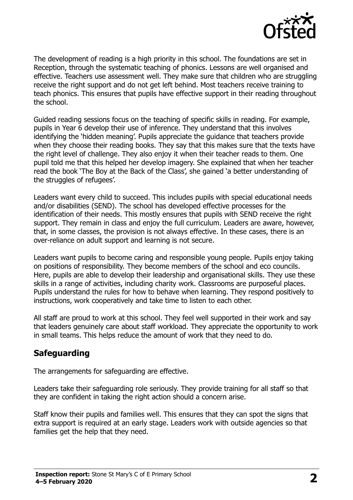

The development of reading is a high priority in this school. The foundations are set in Reception, through the systematic teaching of phonics. Lessons are well organised and effective. Teachers use assessment well. They make sure that children who are struggling receive the right support and do not get left behind. Most teachers receive training to teach phonics. This ensures that pupils have effective support in their reading throughout the school.

Guided reading sessions focus on the teaching of specific skills in reading. For example, pupils in Year 6 develop their use of inference. They understand that this involves identifying the 'hidden meaning'. Pupils appreciate the guidance that teachers provide when they choose their reading books. They say that this makes sure that the texts have the right level of challenge. They also enjoy it when their teacher reads to them. One pupil told me that this helped her develop imagery. She explained that when her teacher read the book 'The Boy at the Back of the Class', she gained 'a better understanding of the struggles of refugees'.

Leaders want every child to succeed. This includes pupils with special educational needs and/or disabilities (SEND). The school has developed effective processes for the identification of their needs. This mostly ensures that pupils with SEND receive the right support. They remain in class and enjoy the full curriculum. Leaders are aware, however, that, in some classes, the provision is not always effective. In these cases, there is an over-reliance on adult support and learning is not secure.

Leaders want pupils to become caring and responsible young people. Pupils enjoy taking on positions of responsibility. They become members of the school and eco councils. Here, pupils are able to develop their leadership and organisational skills. They use these skills in a range of activities, including charity work. Classrooms are purposeful places. Pupils understand the rules for how to behave when learning. They respond positively to instructions, work cooperatively and take time to listen to each other.

All staff are proud to work at this school. They feel well supported in their work and say that leaders genuinely care about staff workload. They appreciate the opportunity to work in small teams. This helps reduce the amount of work that they need to do.

# **Safeguarding**

The arrangements for safeguarding are effective.

Leaders take their safeguarding role seriously. They provide training for all staff so that they are confident in taking the right action should a concern arise.

Staff know their pupils and families well. This ensures that they can spot the signs that extra support is required at an early stage. Leaders work with outside agencies so that families get the help that they need.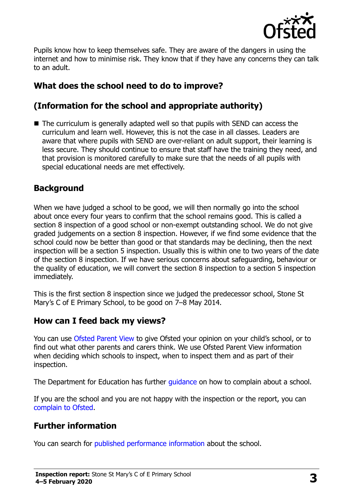

Pupils know how to keep themselves safe. They are aware of the dangers in using the internet and how to minimise risk. They know that if they have any concerns they can talk to an adult.

# **What does the school need to do to improve?**

# **(Information for the school and appropriate authority)**

■ The curriculum is generally adapted well so that pupils with SEND can access the curriculum and learn well. However, this is not the case in all classes. Leaders are aware that where pupils with SEND are over-reliant on adult support, their learning is less secure. They should continue to ensure that staff have the training they need, and that provision is monitored carefully to make sure that the needs of all pupils with special educational needs are met effectively.

# **Background**

When we have judged a school to be good, we will then normally go into the school about once every four years to confirm that the school remains good. This is called a section 8 inspection of a good school or non-exempt outstanding school. We do not give graded judgements on a section 8 inspection. However, if we find some evidence that the school could now be better than good or that standards may be declining, then the next inspection will be a section 5 inspection. Usually this is within one to two years of the date of the section 8 inspection. If we have serious concerns about safeguarding, behaviour or the quality of education, we will convert the section 8 inspection to a section 5 inspection immediately.

This is the first section 8 inspection since we judged the predecessor school, Stone St Mary's C of E Primary School, to be good on 7–8 May 2014.

# **How can I feed back my views?**

You can use [Ofsted Parent View](https://parentview.ofsted.gov.uk/) to give Ofsted your opinion on your child's school, or to find out what other parents and carers think. We use Ofsted Parent View information when deciding which schools to inspect, when to inspect them and as part of their inspection.

The Department for Education has further quidance on how to complain about a school.

If you are the school and you are not happy with the inspection or the report, you can [complain to Ofsted.](https://www.gov.uk/complain-ofsted-report)

# **Further information**

You can search for [published performance information](http://www.compare-school-performance.service.gov.uk/) about the school.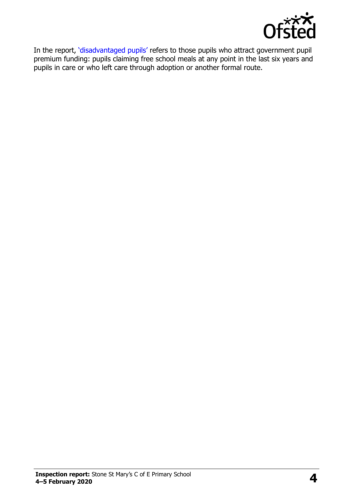

In the report, '[disadvantaged pupils](http://www.gov.uk/guidance/pupil-premium-information-for-schools-and-alternative-provision-settings)' refers to those pupils who attract government pupil premium funding: pupils claiming free school meals at any point in the last six years and pupils in care or who left care through adoption or another formal route.

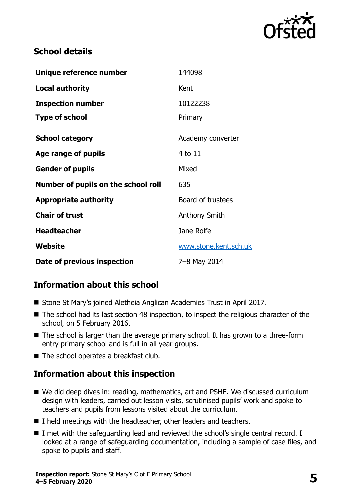

#### **School details**

| Unique reference number             | 144098                |
|-------------------------------------|-----------------------|
| <b>Local authority</b>              | Kent                  |
| <b>Inspection number</b>            | 10122238              |
| <b>Type of school</b>               | Primary               |
| <b>School category</b>              | Academy converter     |
| Age range of pupils                 | 4 to 11               |
| <b>Gender of pupils</b>             | Mixed                 |
| Number of pupils on the school roll | 635                   |
| <b>Appropriate authority</b>        | Board of trustees     |
| <b>Chair of trust</b>               | Anthony Smith         |
| <b>Headteacher</b>                  | Jane Rolfe            |
| Website                             | www.stone.kent.sch.uk |
| Date of previous inspection         | 7-8 May 2014          |

# **Information about this school**

- Stone St Mary's joined Aletheia Anglican Academies Trust in April 2017.
- The school had its last section 48 inspection, to inspect the religious character of the school, on 5 February 2016.
- The school is larger than the average primary school. It has grown to a three-form entry primary school and is full in all year groups.
- The school operates a breakfast club.

# **Information about this inspection**

- We did deep dives in: reading, mathematics, art and PSHE. We discussed curriculum design with leaders, carried out lesson visits, scrutinised pupils' work and spoke to teachers and pupils from lessons visited about the curriculum.
- I held meetings with the headteacher, other leaders and teachers.
- I met with the safeguarding lead and reviewed the school's single central record. I looked at a range of safeguarding documentation, including a sample of case files, and spoke to pupils and staff.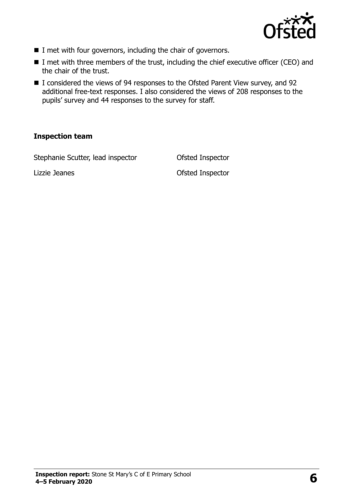

- $\blacksquare$  I met with four governors, including the chair of governors.
- I met with three members of the trust, including the chief executive officer (CEO) and the chair of the trust.
- I considered the views of 94 responses to the Ofsted Parent View survey, and 92 additional free-text responses. I also considered the views of 208 responses to the pupils' survey and 44 responses to the survey for staff.

#### **Inspection team**

Stephanie Scutter, lead inspector **Ofsted Inspector** 

Lizzie Jeanes Ofsted Inspector